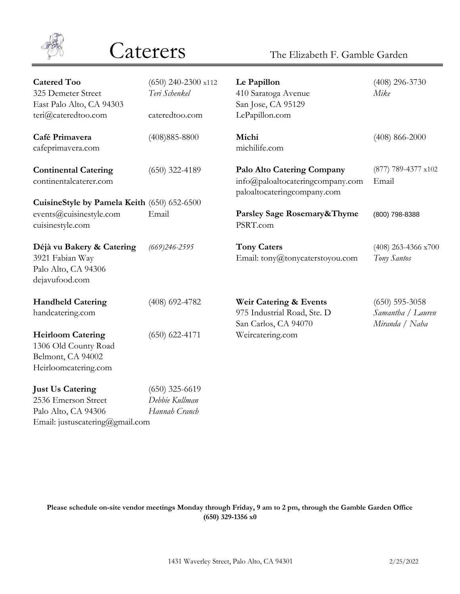

[Email: justuscatering@gmail.com](mailto:justuscatering@gmail.com%20-%20email#)

# Caterers The Elizabeth F. Gamble Garden

| <b>Catered Too</b><br>325 Demeter Street<br>East Palo Alto, CA 94303<br>teri@cateredtoo.com   | $(650)$ 240-2300 x112<br>Teri Schenkel<br>cateredtoo.com | Le Papillon<br>410 Saratoga Avenue<br>San Jose, CA 95129<br>LePapillon.com                           | $(408)$ 296-3730<br>Mike                                |
|-----------------------------------------------------------------------------------------------|----------------------------------------------------------|------------------------------------------------------------------------------------------------------|---------------------------------------------------------|
| Café Primavera<br>cafeprimavera.com                                                           | $(408)885 - 8800$                                        | Michi<br>michilife.com                                                                               | $(408)$ 866-2000                                        |
| <b>Continental Catering</b><br>continentalcaterer.com                                         | $(650)$ 322-4189                                         | <b>Palo Alto Catering Company</b><br>info@paloaltocateringcompany.com<br>paloaltocateringcompany.com | (877) 789-4377 x102<br>Email                            |
| CuisineStyle by Pamela Keith (650) 652-6500                                                   |                                                          |                                                                                                      |                                                         |
| events@cuisinestyle.com<br>cuisinestyle.com                                                   | Email                                                    | Parsley Sage Rosemary&Thyme<br>PSRT.com                                                              | (800) 798-8388                                          |
| Déjà vu Bakery & Catering<br>3921 Fabian Way<br>Palo Alto, CA 94306<br>dejavufood.com         | $(669)$ 246-2595                                         | <b>Tony Caters</b><br>Email: tony@tonycaterstoyou.com                                                | (408) 263-4366 x700<br>Tony Santos                      |
| <b>Handheld Catering</b><br>handcatering.com                                                  | $(408)$ 692-4782                                         | Weir Catering & Events<br>975 Industrial Road, Ste. D<br>San Carlos, CA 94070                        | $(650)$ 595-3058<br>Samantha / Lauren<br>Miranda / Naha |
| <b>Heirloom Catering</b><br>1306 Old County Road<br>Belmont, CA 94002<br>Heirloomcatering.com | $(650)$ 622-4171                                         | Weircatering.com                                                                                     |                                                         |
| <b>Just Us Catering</b>                                                                       | $(650)$ 325-6619                                         |                                                                                                      |                                                         |
| 2536 Emerson Street                                                                           | Debbie Kullman                                           |                                                                                                      |                                                         |
| Palo Alto, CA 94306                                                                           | Hannah Cranch                                            |                                                                                                      |                                                         |

**Please schedule on-site vendor meetings Monday through Friday, 9 am to 2 pm, through the Gamble Garden Office (650) 329-1356 x0**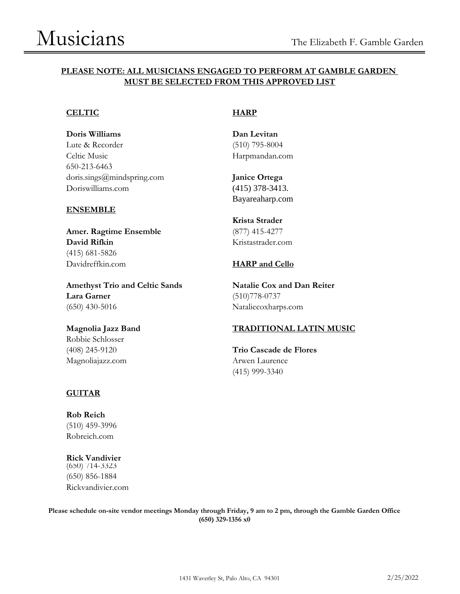## **PLEASE NOTE: ALL MUSICIANS ENGAGED TO PERFORM AT GAMBLE GARDEN MUST BE SELECTED FROM THIS APPROVED LIST**

### **CELTIC HARP**

**Doris Williams Dan Levitan** Lute & Recorder (510) 795-8004 Celtic Music **[Harpmandan.com](http://www.harpmandan.com/#)** 650-213-6463 [doris.sings@mindspring.com](mailto:doris.sings@mindspring.com#) **Janice Ortega** [Doriswilliams.com](http://www.doriswilliams.com/#) (415) 378-3413.

### **ENSEMBLE**

**Amer. Ragtime Ensemble** (877) 415-4277 **David Rifkin** [Kristastrader.com](http://www.kristastrader.com/#) (415) 681-5826 [Davidreffkin.com](http://www.davidreffkin.com/#) **HARP and Cello**

**Amethyst Trio and Celtic Sands Natalie Cox and Dan Reiter Lara Garner** (510)778-0737 (650) 430-5016 [Nataliecoxharps.com](http://www.nataliecoxharps.com/#)

Robbie Schlosser [Magnoliajazz.com](http://www.magnoliajazz.com/#) Arwen Laurence

[Bayareaharp.com](http://www.bayareaharp.com/#)

**Krista Strader**

## **Magnolia Jazz Band TRADITIONAL LATIN MUSIC**

(408) 245-9120 **Trio Cascade de Flores** (415) 999-3340

## **GUITAR**

**Rob Reich** (510) 459-3996 [Robreich.com](http://www.robreich.com/#)

**Rick Vandivier** (650) 714-3323 (650) 856-1884 [Rickvandivier.com](http://www.rickvandivier.com/#)

**Please schedule on-site vendor meetings Monday through Friday, 9 am to 2 pm, through the Gamble Garden Office (650) 329-1356 x0**